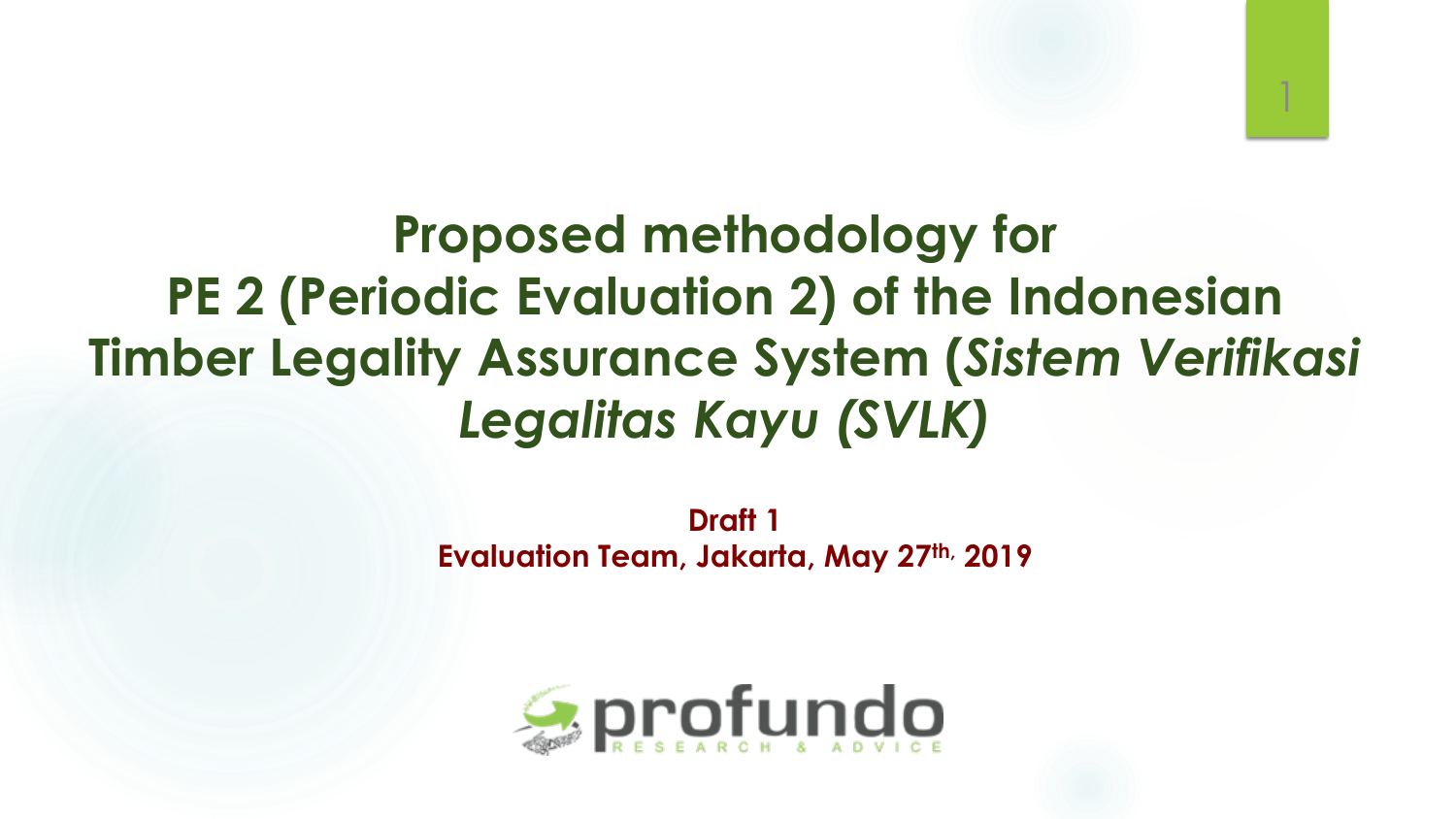

1

**Draft 1 Evaluation Team, Jakarta, May 27th, 2019**

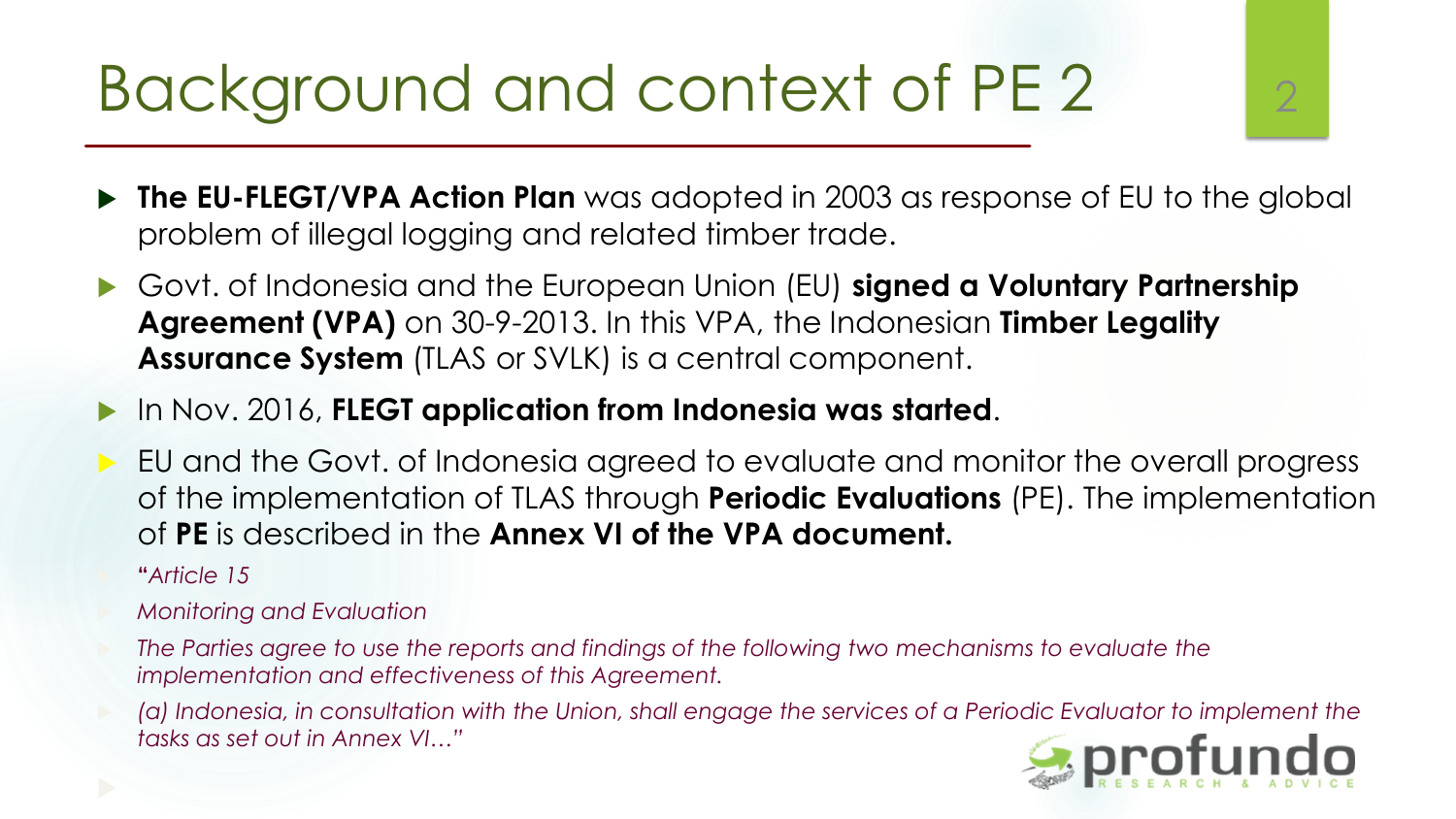### Background and context of PE 2 2 2

- **The EU-FLEGT/VPA Action Plan** was adopted in 2003 as response of EU to the global problem of illegal logging and related timber trade.
- Govt. of Indonesia and the European Union (EU) **signed a Voluntary Partnership Agreement (VPA)** on 30-9-2013. In this VPA, the Indonesian **Timber Legality Assurance System** (TLAS or SVLK) is a central component.
- In Nov. 2016, **FLEGT application from Indonesia was started**.
- EU and the Govt. of Indonesia agreed to evaluate and monitor the overall progress of the implementation of TLAS through **Periodic Evaluations** (PE). The implementation of **PE** is described in the **Annex VI of the VPA document.** 
	- **"***Article 15*
- *Monitoring and Evaluation*
- *The Parties agree to use the reports and findings of the following two mechanisms to evaluate the implementation and effectiveness of this Agreement.*
- *(a) Indonesia, in consultation with the Union, shall engage the services of a Periodic Evaluator to implement the tasks as set out in Annex VI…"*

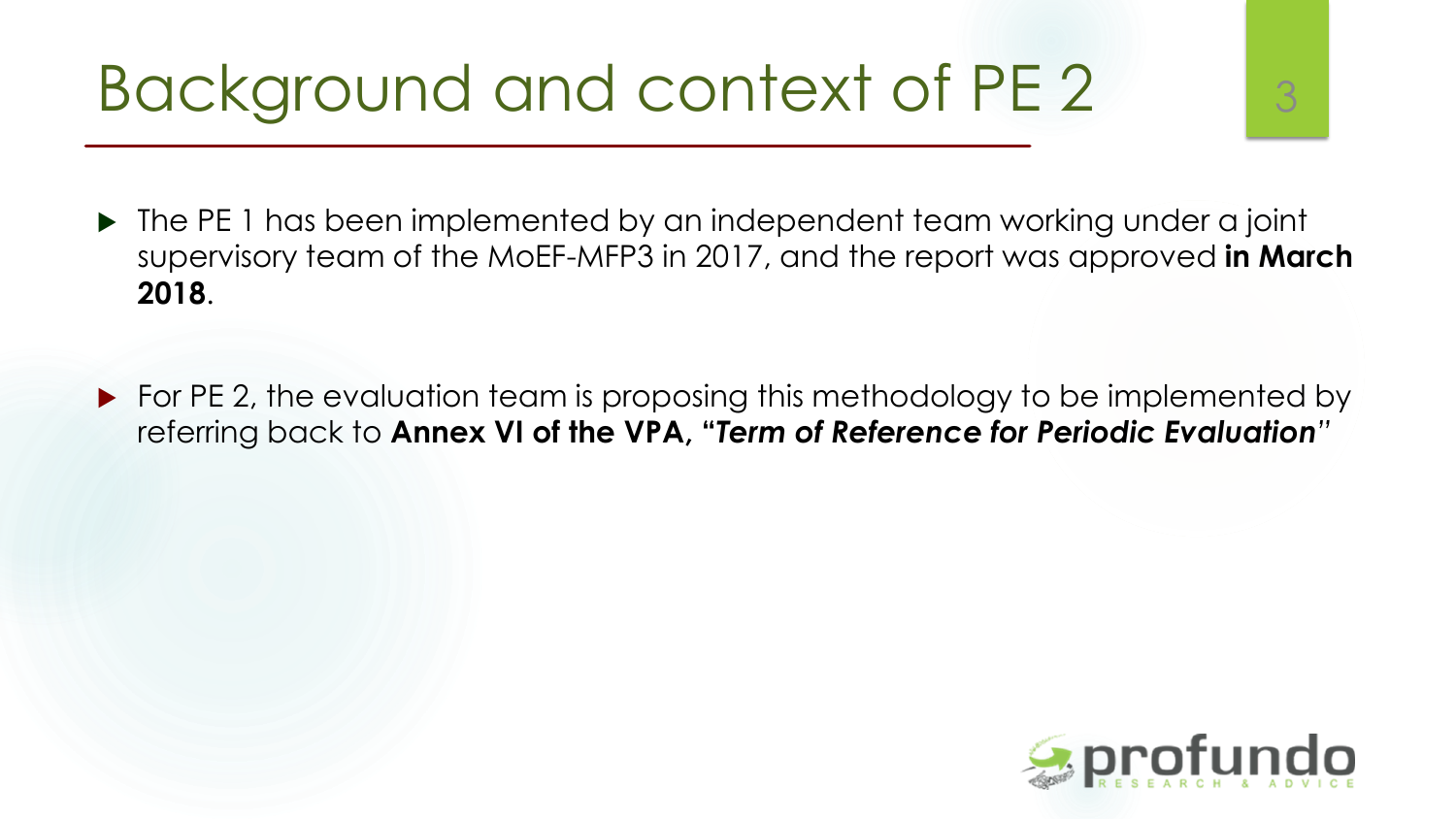### Background and context of PE 2 3

- ▶ The PE 1 has been implemented by an independent team working under a joint supervisory team of the MoEF-MFP3 in 2017, and the report was approved **in March 2018**.
- ▶ For PE 2, the evaluation team is proposing this methodology to be implemented by referring back to **Annex VI of the VPA, "***Term of Reference for Periodic Evaluation"*

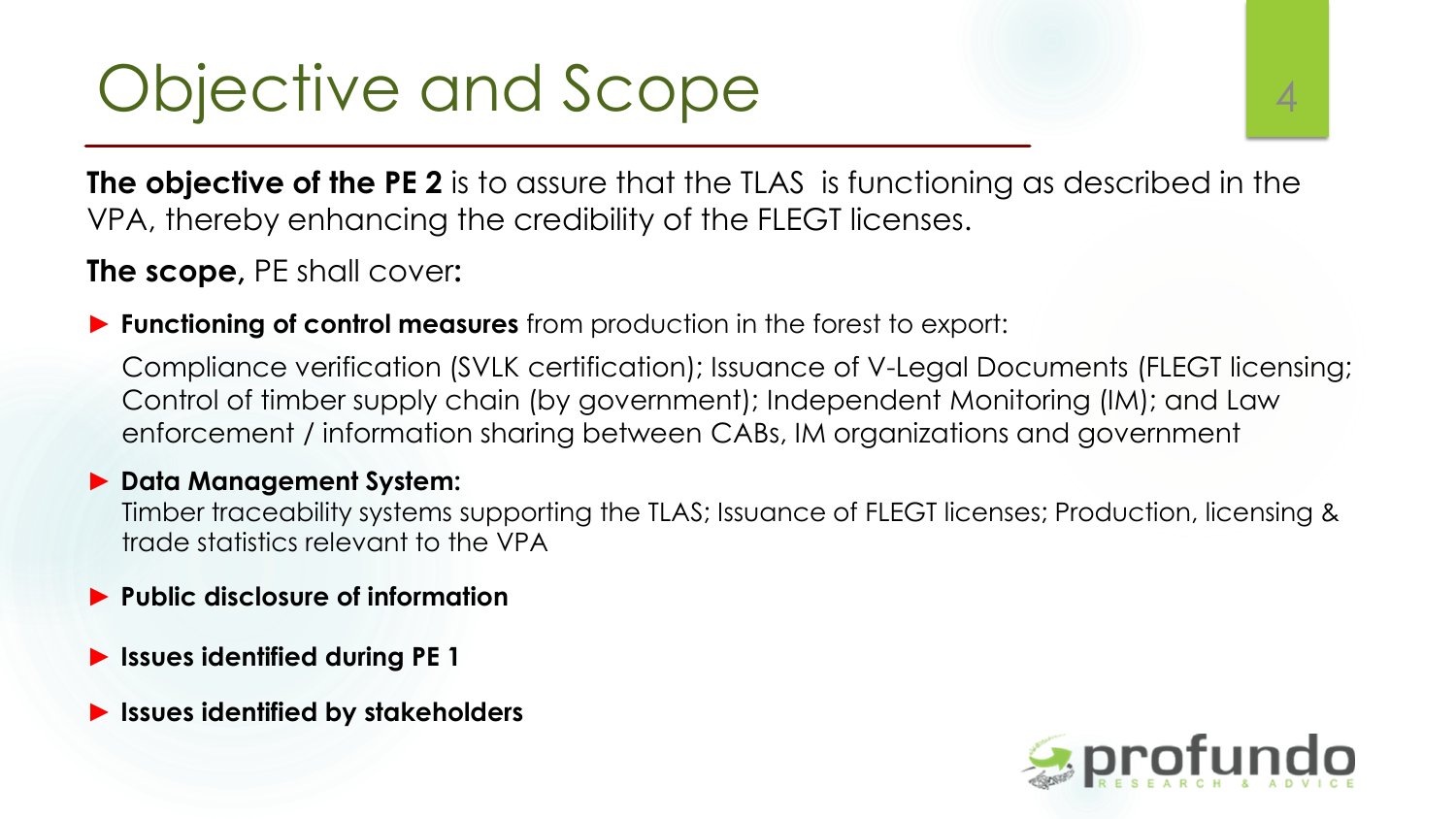### Objective and Scope 44

**The objective of the PE 2** is to assure that the TLAS is functioning as described in the VPA, thereby enhancing the credibility of the FLEGT licenses.

**The scope,** PE shall cover**:**

► **Functioning of control measures** from production in the forest to export:

Compliance verification (SVLK certification); Issuance of V-Legal Documents (FLEGT licensing; Control of timber supply chain (by government); Independent Monitoring (IM); and Law enforcement / information sharing between CABs, IM organizations and government

#### ► **Data Management System:**

Timber traceability systems supporting the TLAS; Issuance of FLEGT licenses; Production, licensing & trade statistics relevant to the VPA

- ► **Public disclosure of information**
- ► **Issues identified during PE 1**
- ► **Issues identified by stakeholders**

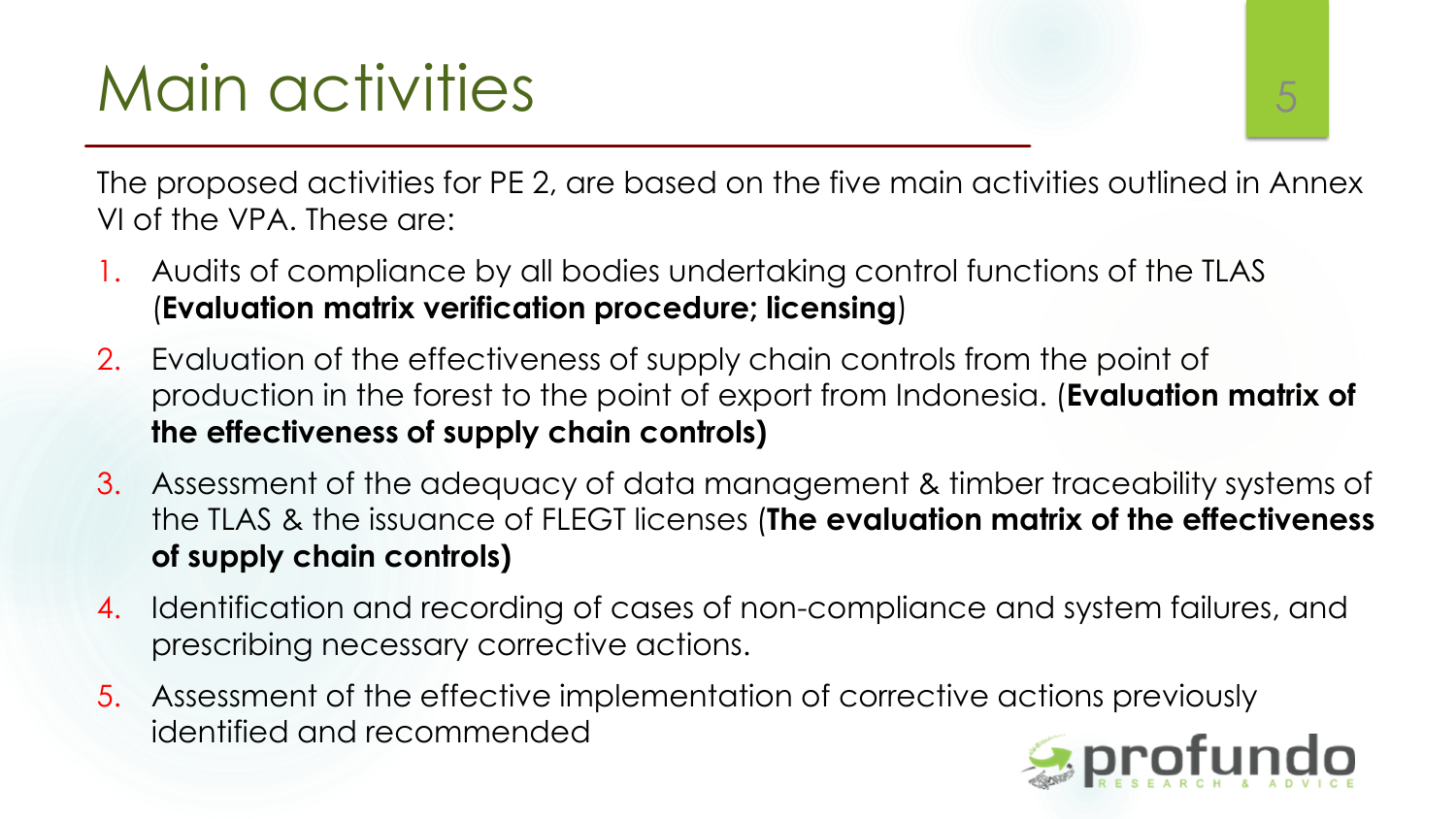# Main activities and the state of  $5$

The proposed activities for PE 2, are based on the five main activities outlined in Annex VI of the VPA. These are:

- 1. Audits of compliance by all bodies undertaking control functions of the TLAS (**Evaluation matrix verification procedure; licensing**)
- 2. Evaluation of the effectiveness of supply chain controls from the point of production in the forest to the point of export from Indonesia. (**Evaluation matrix of the effectiveness of supply chain controls)**
- 3. Assessment of the adequacy of data management & timber traceability systems of the TLAS & the issuance of FLEGT licenses (**The evaluation matrix of the effectiveness of supply chain controls)**
- 4. Identification and recording of cases of non-compliance and system failures, and prescribing necessary corrective actions.
- 5. Assessment of the effective implementation of corrective actions previously identified and recommended

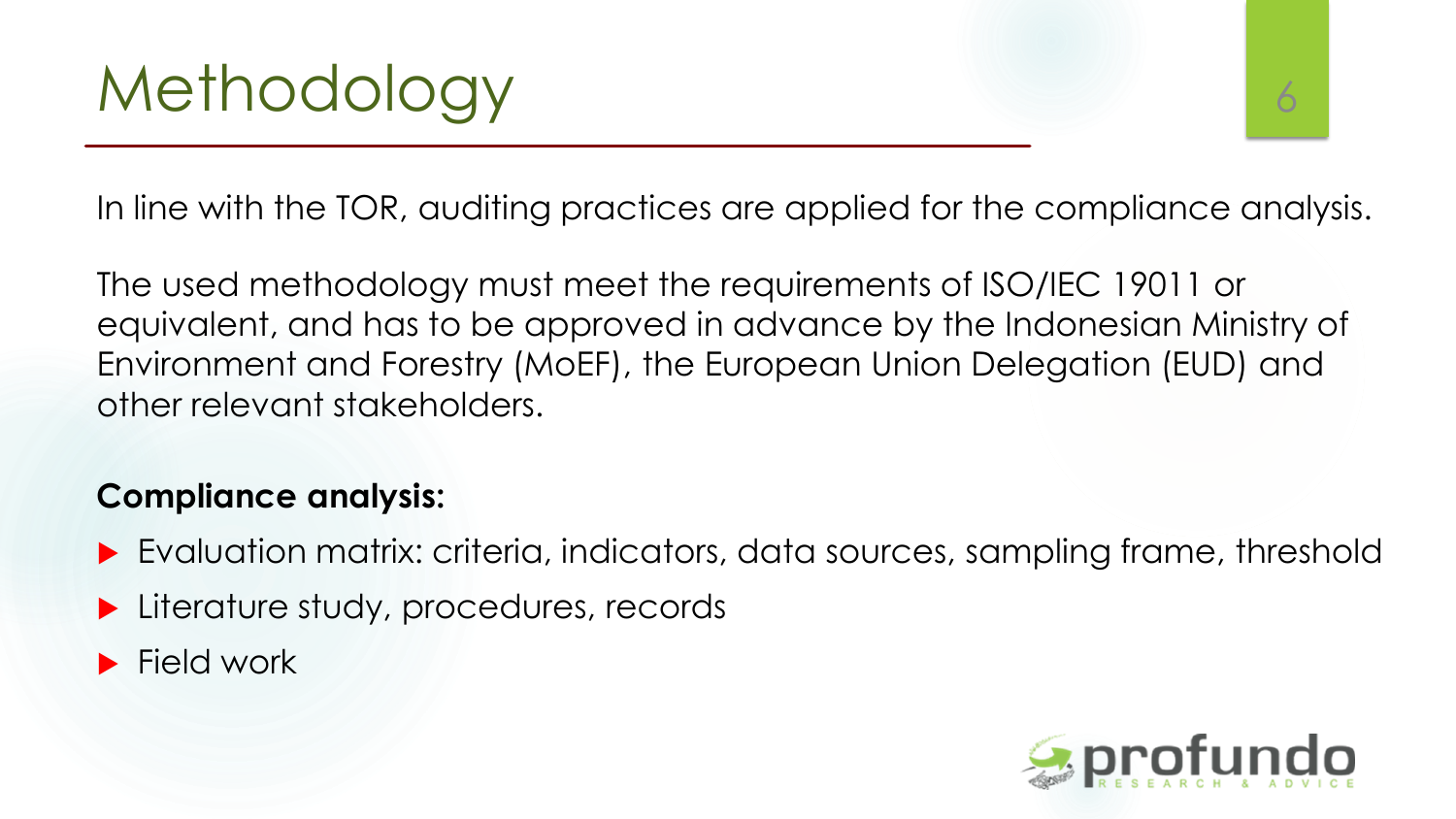In line with the TOR, auditing practices are applied for the compliance analysis.

The used methodology must meet the requirements of ISO/IEC 19011 or equivalent, and has to be approved in advance by the Indonesian Ministry of Environment and Forestry (MoEF), the European Union Delegation (EUD) and other relevant stakeholders.

#### **Compliance analysis:**

- Evaluation matrix: criteria, indicators, data sources, sampling frame, threshold
- **Literature study, procedures, records**
- $\blacktriangleright$  Field work

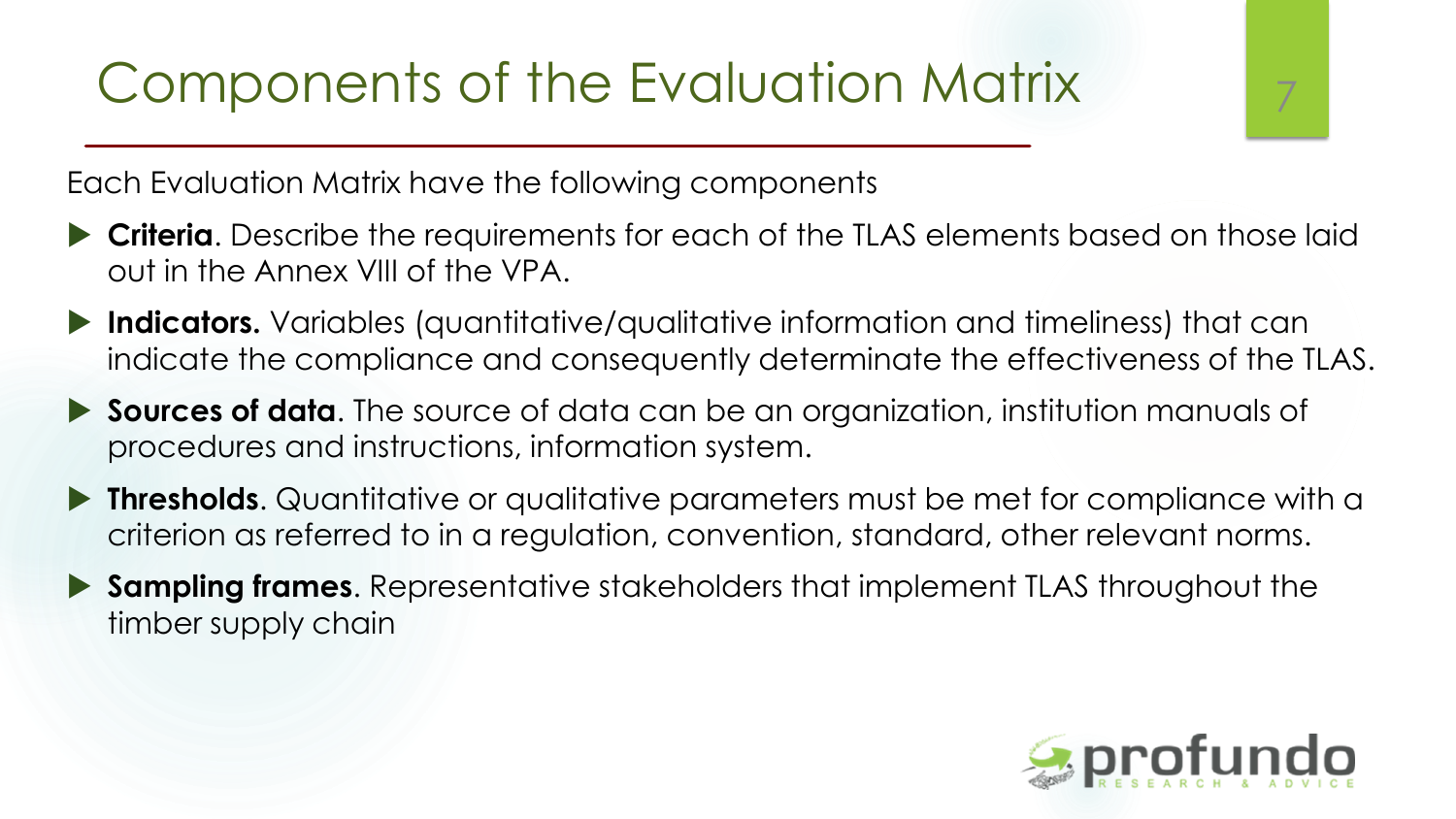#### Components of the Evaluation Matrix <sup>7</sup>

Each Evaluation Matrix have the following components

- **Criteria**. Describe the requirements for each of the TLAS elements based on those laid out in the Annex VIII of the VPA.
- **Indicators.** Variables (quantitative/qualitative information and timeliness) that can indicate the compliance and consequently determinate the effectiveness of the TLAS.
- **Sources of data**. The source of data can be an organization, institution manuals of procedures and instructions, information system.
- **Thresholds**. Quantitative or qualitative parameters must be met for compliance with a criterion as referred to in a regulation, convention, standard, other relevant norms.
- **Sampling frames**. Representative stakeholders that implement TLAS throughout the timber supply chain

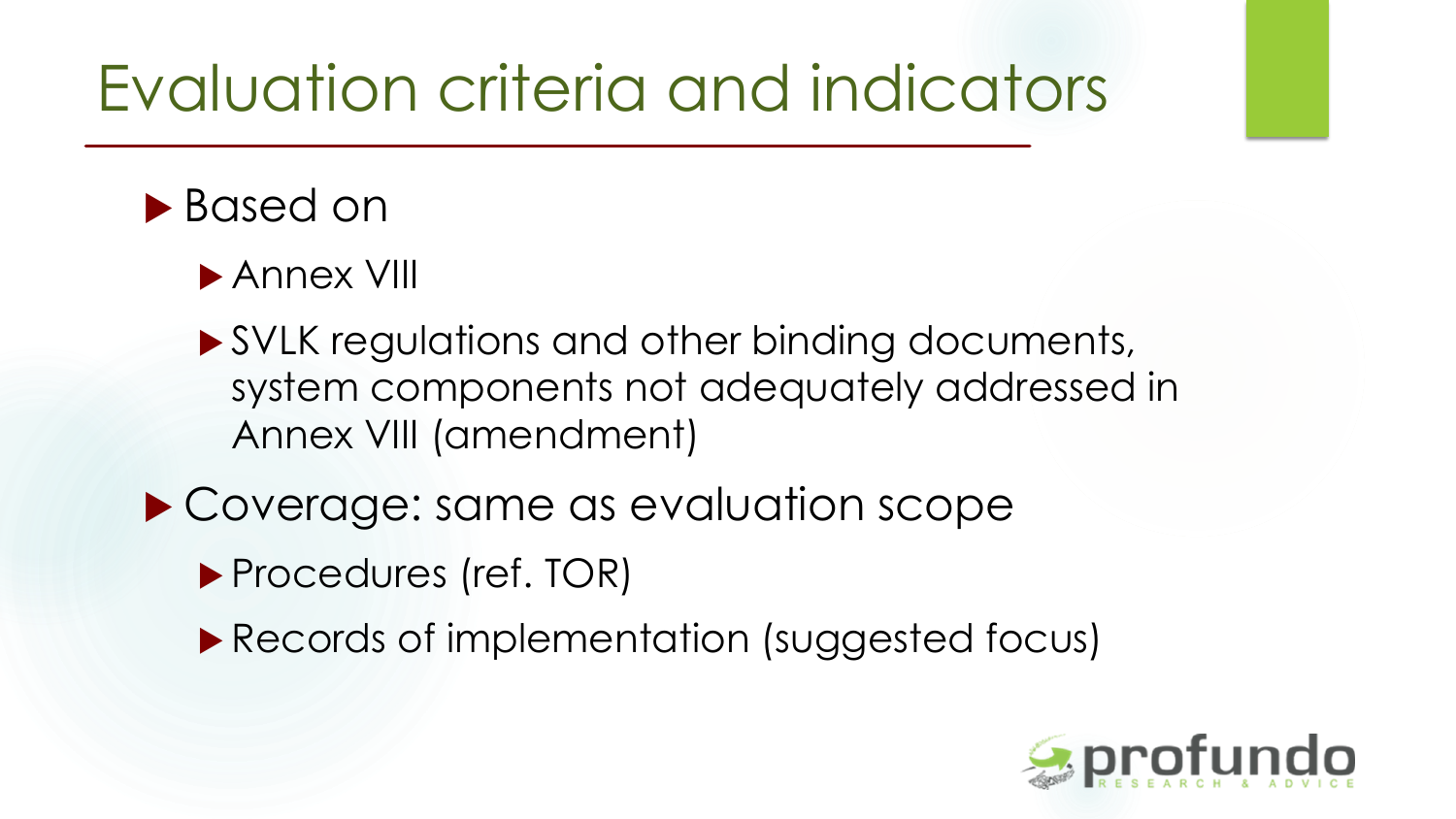### Evaluation criteria and indicators

#### ▶ Based on

- ▶ Annex VIII
- ▶ SVLK regulations and other binding documents, system components not adequately addressed in Annex VIII (amendment)
- ▶ Coverage: same as evaluation scope
	- ▶ Procedures (ref. TOR)
	- **Records of implementation (suggested focus)**

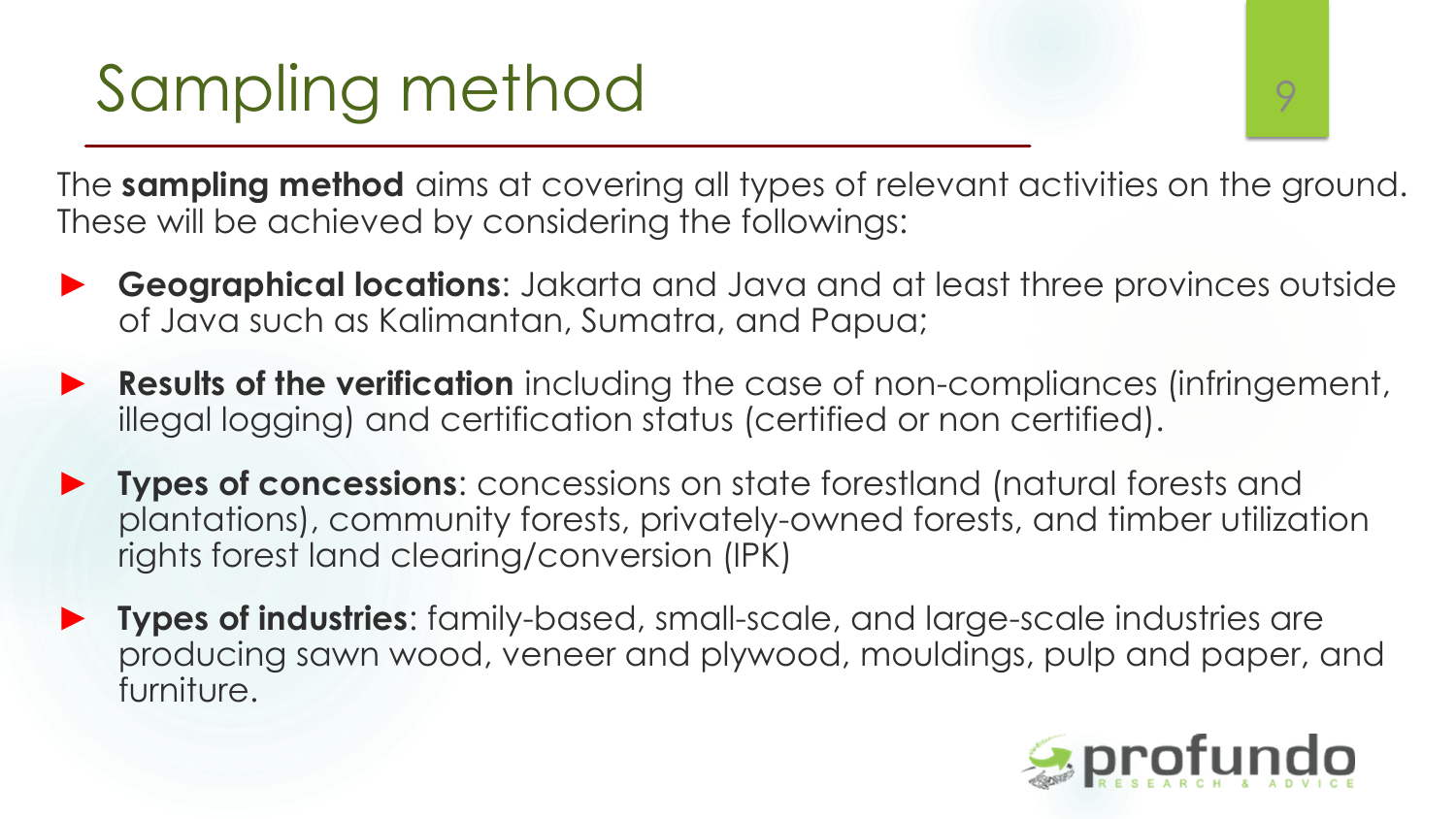# Sampling method

The **sampling method** aims at covering all types of relevant activities on the ground. These will be achieved by considering the followings:

- ► **Geographical locations**: Jakarta and Java and at least three provinces outside of Java such as Kalimantan, Sumatra, and Papua;
- ► **Results of the verification** including the case of non-compliances (infringement, illegal logging) and certification status (certified or non certified).
- ► **Types of concessions**: concessions on state forestland (natural forests and plantations), community forests, privately-owned forests, and timber utilization rights forest land clearing/conversion (IPK)
- ► **Types of industries**: family-based, small-scale, and large-scale industries are producing sawn wood, veneer and plywood, mouldings, pulp and paper, and furniture.

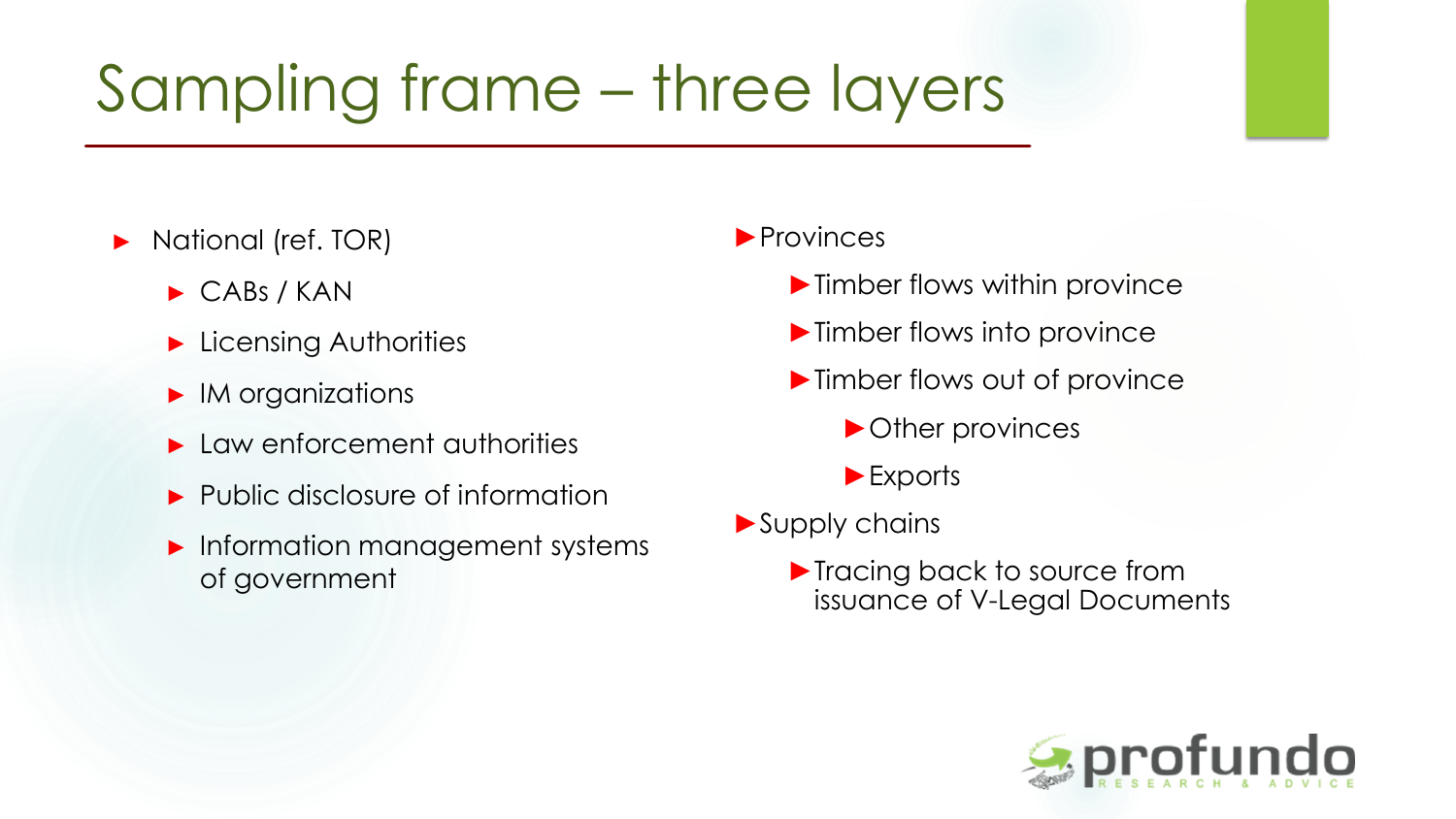### Sampling frame – three layers

- ► National (ref. TOR)
	- ► CABs / KAN
	- ► Licensing Authorities
	- ► IM organizations
	- ► Law enforcement authorities
	- ► Public disclosure of information
	- ► Information management systems of government

#### ►Provinces

- ►Timber flows within province
- ▶ Timber flows into province
- ▶ Timber flows out of province
	- ►Other provinces
	- ►Exports
- ►Supply chains
	- ▶ Tracing back to source from issuance of V-Legal Documents

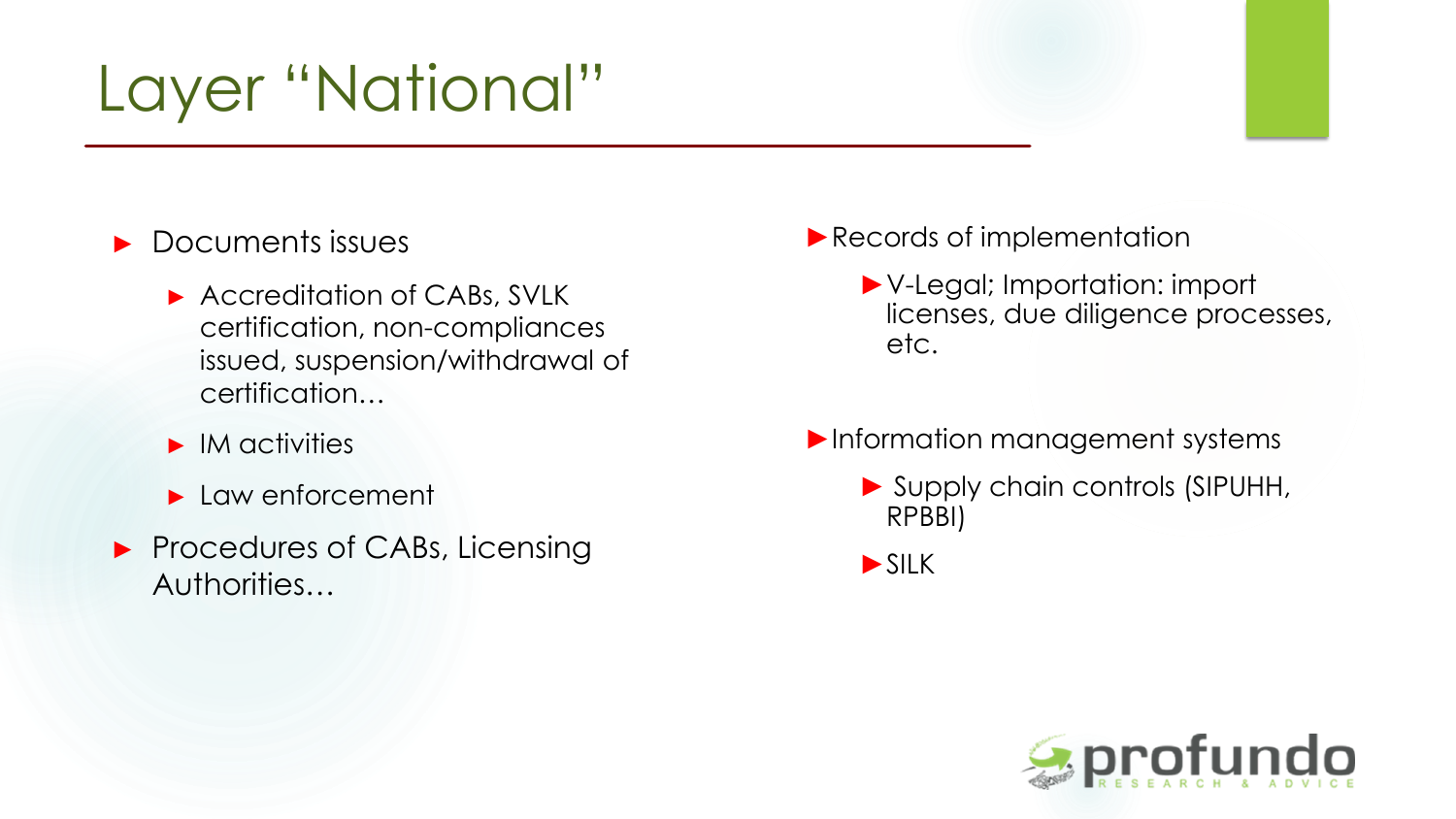### Layer "National"

#### ► Documents issues

- ► Accreditation of CABs, SVLK certification, non-compliances issued, suspension/withdrawal of certification…
- ► IM activities
- ► Law enforcement
- ► Procedures of CABs, Licensing Authorities…
- ▶Records of implementation
	- ►V-Legal; Importation: import licenses, due diligence processes, etc.
- ►Information management systems
	- ► Supply chain controls (SIPUHH, RPBBI)

►SILK

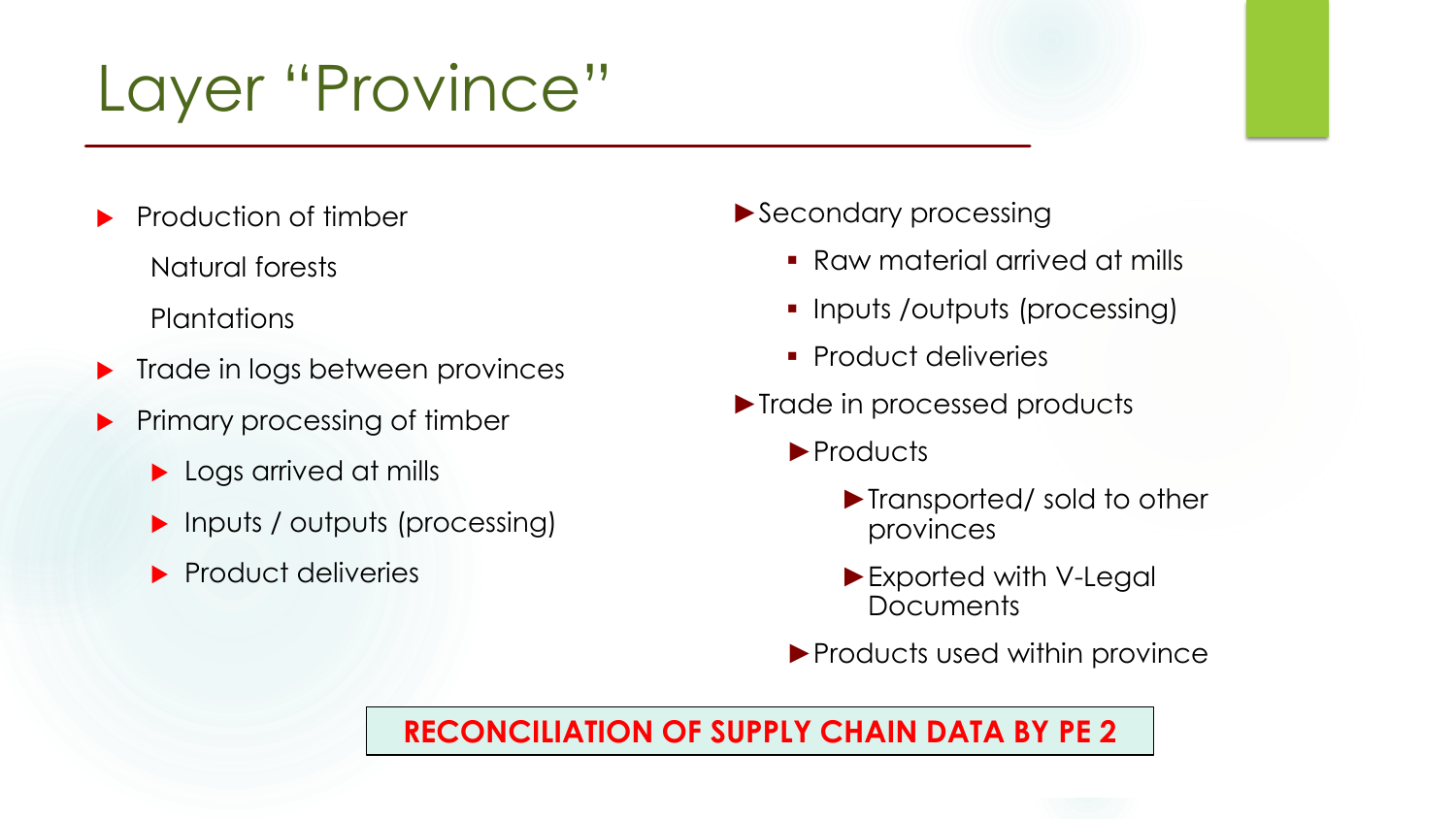### Layer "Province"

- Production of timber
	- Natural forests

**Plantations** 

- **Trade in logs between provinces**
- **Primary processing of timber** 
	- ▶ Logs arrived at mills
	- **Inputs / outputs (processing)**
	- $\blacktriangleright$  Product deliveries
- ►Secondary processing
	- Raw material arrived at mills
	- Inputs /outputs (processing)
	- **Product deliveries**
- ►Trade in processed products
	- ►Products
		- ►Transported/ sold to other provinces
		- ►Exported with V-Legal Documents
	- ▶ Products used within province

#### **RECONCILIATION OF SUPPLY CHAIN DATA BY PE 2**

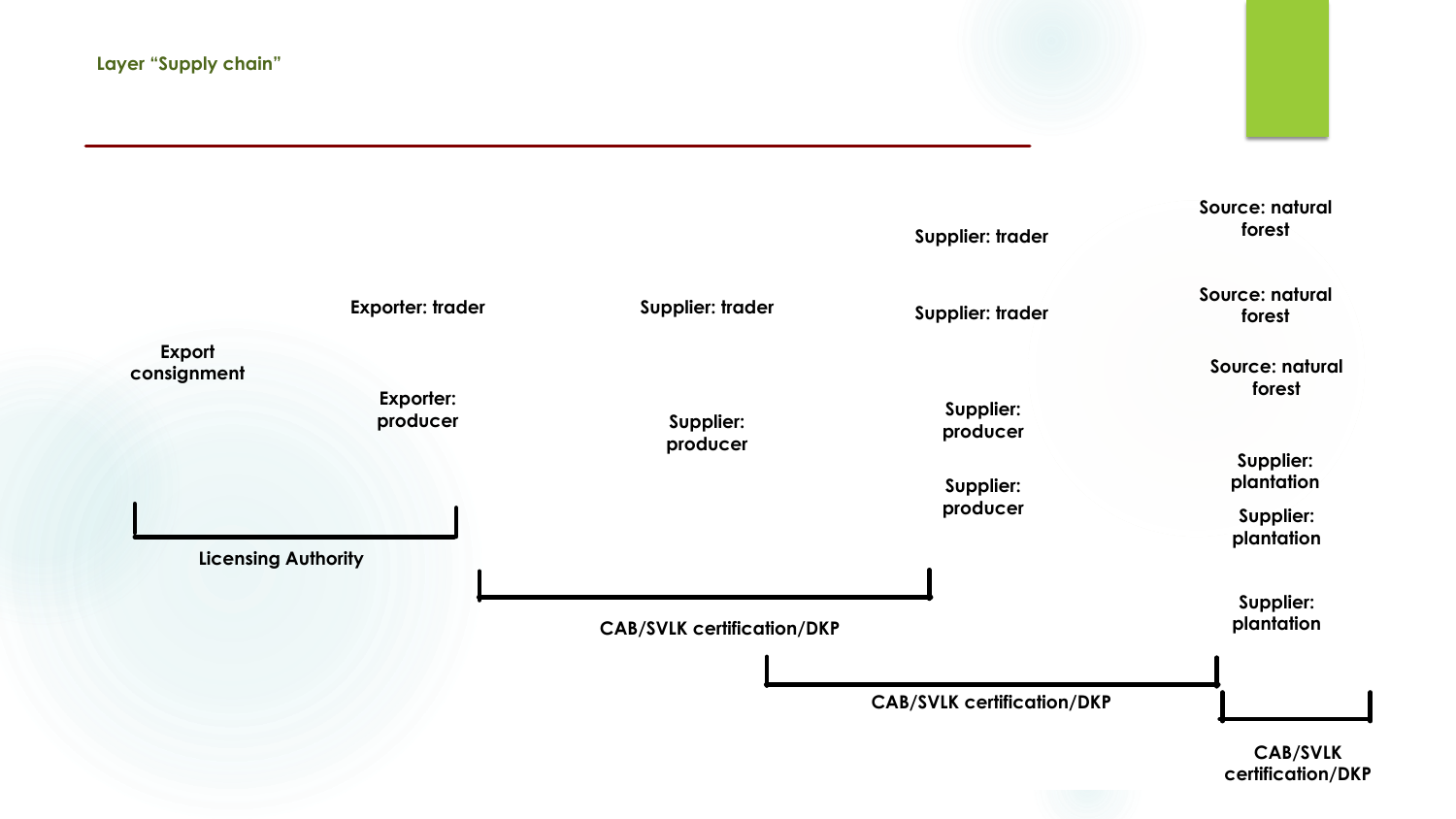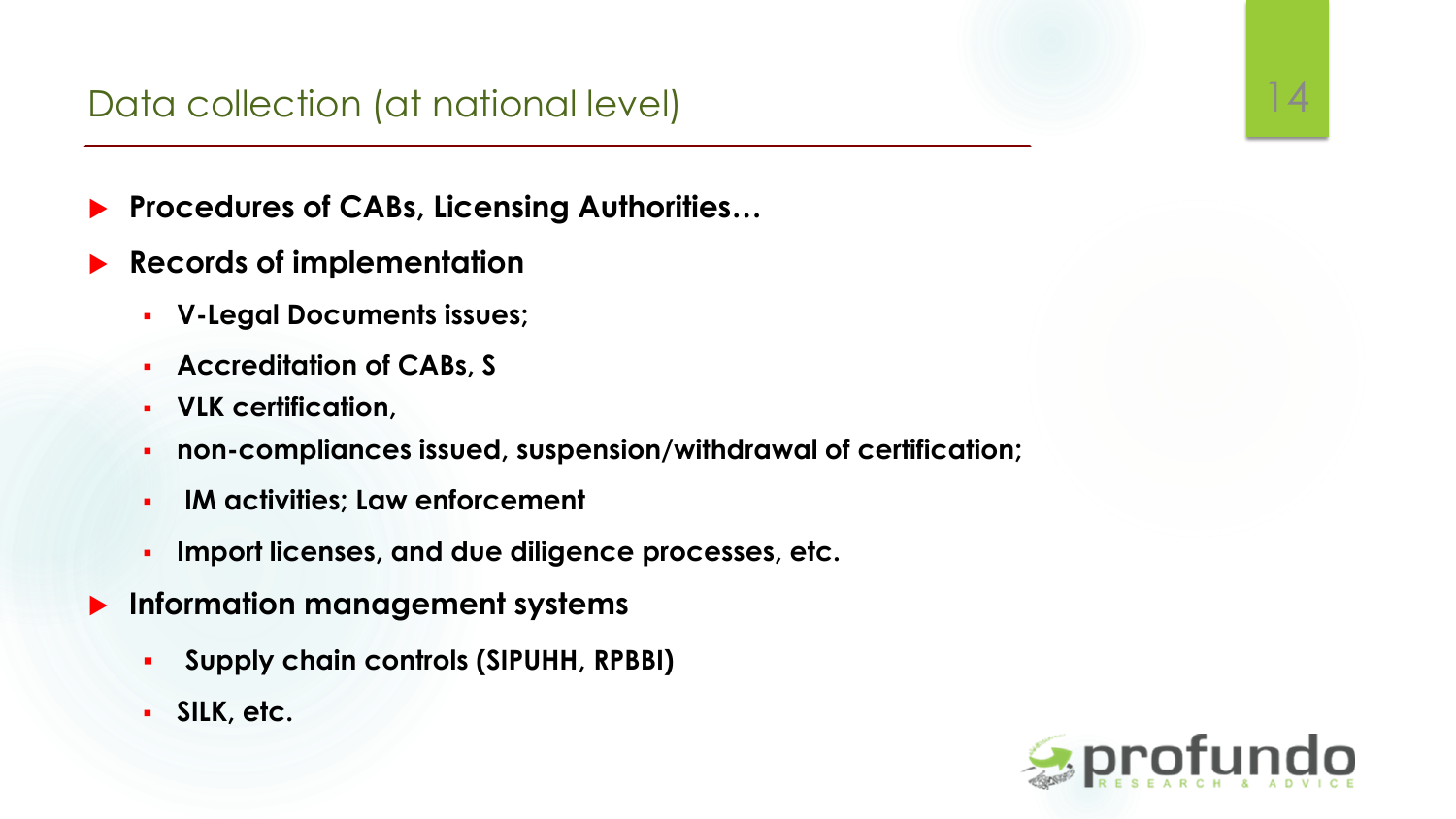- **Procedures of CABs, Licensing Authorities…**
- **Records of implementation**
	- **V-Legal Documents issues;**
	- **Accreditation of CABs, S**
	- **VLK certification,**
	- **non-compliances issued, suspension/withdrawal of certification;**
	- **IM activities; Law enforcement**
	- **Import licenses, and due diligence processes, etc.**
- **Information management systems**
	- **Supply chain controls (SIPUHH, RPBBI)**
	- **SILK, etc.**

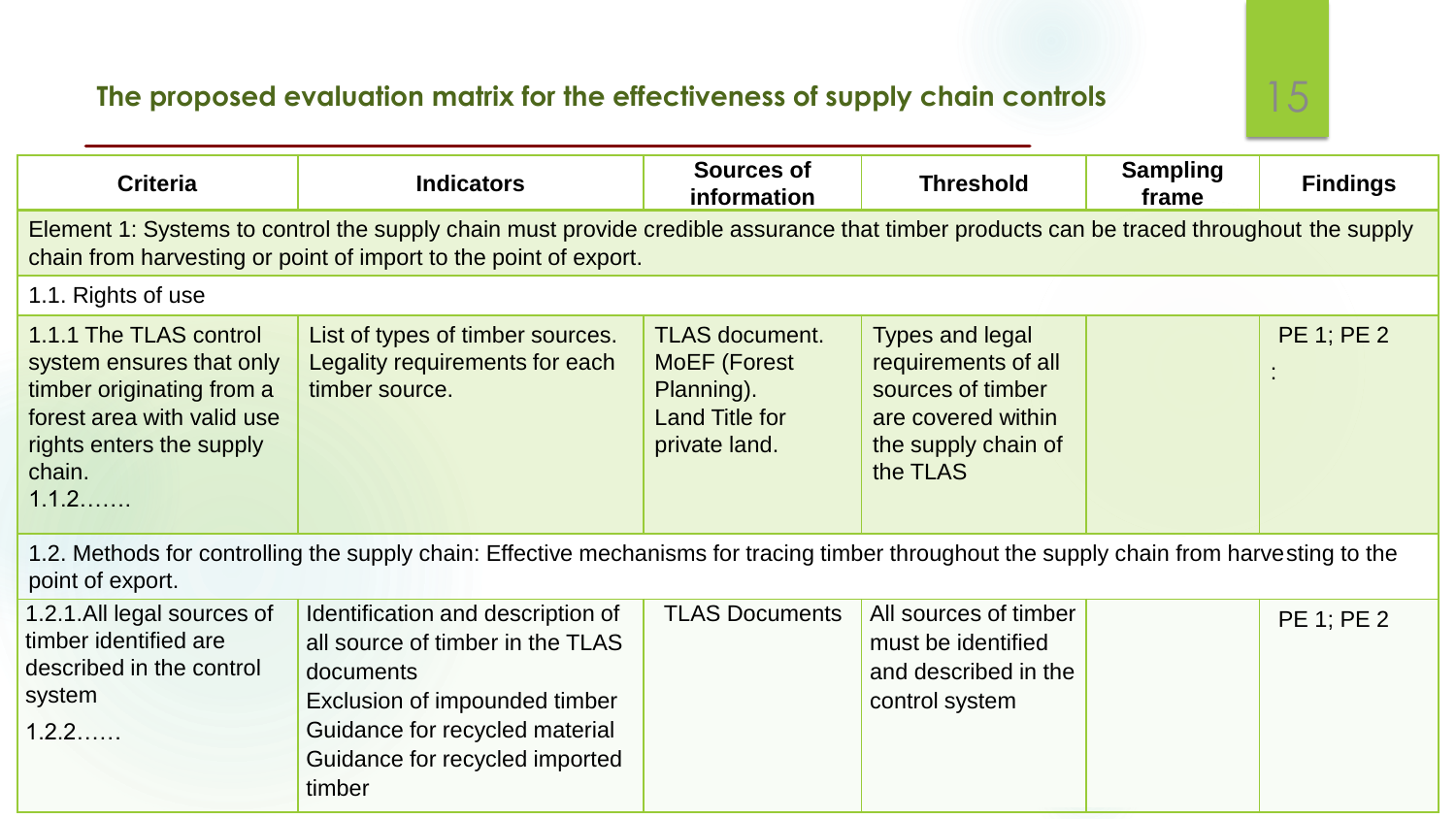#### **The proposed evaluation matrix for the effectiveness of supply chain controls** 15

| <b>Criteria</b>                                                                                                                                                                                             | <b>Indicators</b>                                                                                                                                                                                 | <b>Sources of</b><br>information                                                                     | <b>Threshold</b>                                                                                                            | <b>Sampling</b><br>frame | <b>Findings</b>   |
|-------------------------------------------------------------------------------------------------------------------------------------------------------------------------------------------------------------|---------------------------------------------------------------------------------------------------------------------------------------------------------------------------------------------------|------------------------------------------------------------------------------------------------------|-----------------------------------------------------------------------------------------------------------------------------|--------------------------|-------------------|
| Element 1: Systems to control the supply chain must provide credible assurance that timber products can be traced throughout the supply<br>chain from harvesting or point of import to the point of export. |                                                                                                                                                                                                   |                                                                                                      |                                                                                                                             |                          |                   |
| 1.1. Rights of use                                                                                                                                                                                          |                                                                                                                                                                                                   |                                                                                                      |                                                                                                                             |                          |                   |
| 1.1.1 The TLAS control<br>system ensures that only<br>timber originating from a<br>forest area with valid use<br>rights enters the supply<br>chain.<br>1.1.2                                                | List of types of timber sources.<br>Legality requirements for each<br>timber source.                                                                                                              | <b>TLAS document.</b><br><b>MoEF</b> (Forest<br>Planning).<br><b>Land Title for</b><br>private land. | <b>Types and legal</b><br>requirements of all<br>sources of timber<br>are covered within<br>the supply chain of<br>the TLAS |                          | <b>PE 1; PE 2</b> |
| 1.2. Methods for controlling the supply chain: Effective mechanisms for tracing timber throughout the supply chain from harvesting to the<br>point of export.                                               |                                                                                                                                                                                                   |                                                                                                      |                                                                                                                             |                          |                   |
| 1.2.1.All legal sources of<br>timber identified are<br>described in the control<br>system<br>1.2.2                                                                                                          | Identification and description of<br>all source of timber in the TLAS<br>documents<br>Exclusion of impounded timber<br>Guidance for recycled material<br>Guidance for recycled imported<br>timber | <b>TLAS Documents</b>                                                                                | All sources of timber<br>must be identified<br>and described in the<br>control system                                       |                          | <b>PE 1; PE 2</b> |